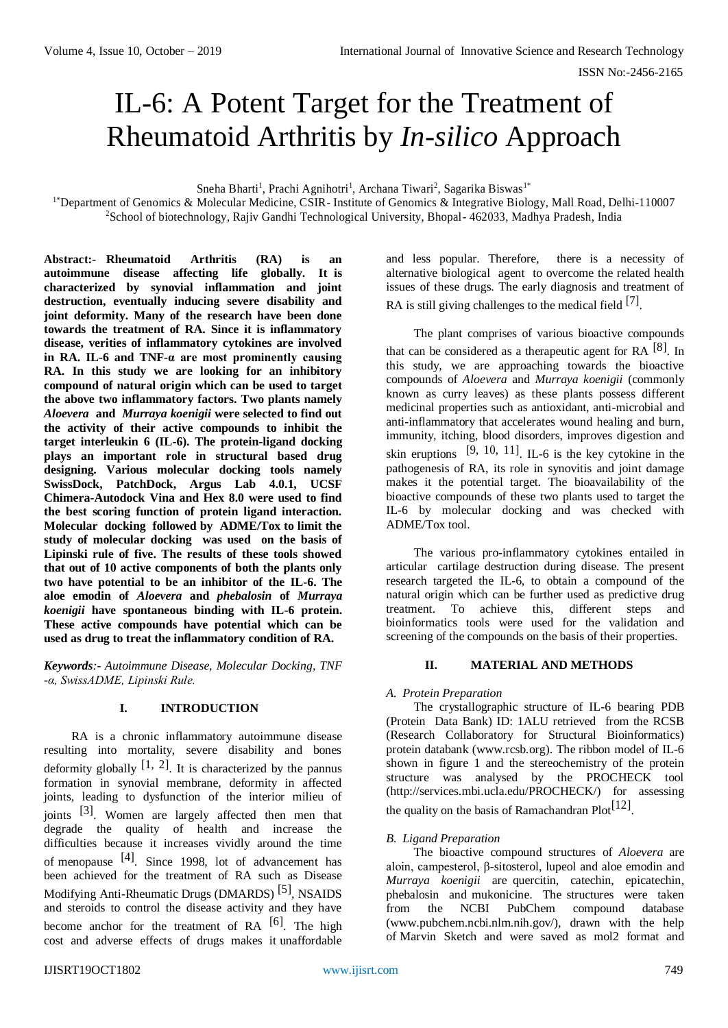# IL-6: A Potent Target for the Treatment of Rheumatoid Arthritis by *In-silico* Approach

Sneha Bharti<sup>1</sup>, Prachi Agnihotri<sup>1</sup>, Archana Tiwari<sup>2</sup>, Sagarika Biswas<sup>1\*</sup>

1\*Department of Genomics & Molecular Medicine, CSIR- Institute of Genomics & Integrative Biology, Mall Road, Delhi-110007 <sup>2</sup>School of biotechnology, Rajiv Gandhi Technological University, Bhopal- 462033, Madhya Pradesh, India

**Abstract:- Rheumatoid Arthritis (RA) is an autoimmune disease affecting life globally. It is characterized by synovial inflammation and joint destruction, eventually inducing severe disability and joint deformity. Many of the research have been done towards the treatment of RA. Since it is inflammatory disease, verities of inflammatory cytokines are involved in RA. IL-6 and TNF-α are most prominently causing RA. In this study we are looking for an inhibitory compound of natural origin which can be used to target the above two inflammatory factors. Two plants namely**  *Aloevera* **and** *Murraya koenigii* **were selected to find out the activity of their active compounds to inhibit the target interleukin 6 (IL-6). The protein-ligand docking plays an important role in structural based drug designing. Various molecular docking tools namely SwissDock, PatchDock, Argus Lab 4.0.1, UCSF Chimera-Autodock Vina and Hex 8.0 were used to find the best scoring function of protein ligand interaction. Molecular docking followed by ADME/Tox to limit the study of molecular docking was used on the basis of Lipinski rule of five. The results of these tools showed that out of 10 active components of both the plants only two have potential to be an inhibitor of the IL-6. The aloe emodin of** *Aloevera* **and** *phebalosin* **of** *Murraya koenigii* **have spontaneous binding with IL-6 protein. These active compounds have potential which can be used as drug to treat the inflammatory condition of RA.**

*Keywords:- Autoimmune Disease, Molecular Docking, TNF -α, SwissADME, Lipinski Rule.*

## **I. INTRODUCTION**

RA is a chronic inflammatory autoimmune disease resulting into mortality, severe disability and bones deformity globally  $[1, 2]$ . It is characterized by the pannus formation in synovial membrane, deformity in affected joints, leading to dysfunction of the interior milieu of joints [3]. Women are largely affected then men that degrade the quality of health and increase the difficulties because it increases vividly around the time of menopause  $[4]$ . Since 1998, lot of advancement has been achieved for the treatment of RA such as Disease Modifying Anti-Rheumatic Drugs (DMARDS)<sup>[5]</sup>, NSAIDS and steroids to control the disease activity and they have become anchor for the treatment of RA  $[6]$ . The high cost and adverse effects of drugs makes it unaffordable

and less popular. Therefore, there is a necessity of alternative biological agent to overcome the related health issues of these drugs. The early diagnosis and treatment of RA is still giving challenges to the medical field  $[7]$ .

The plant comprises of various bioactive compounds that can be considered as a therapeutic agent for RA  $[8]$ . In this study, we are approaching towards the bioactive compounds of *Aloevera* and *Murraya koenigii* (commonly known as curry leaves) as these plants possess different medicinal properties such as antioxidant, anti-microbial and anti-inflammatory that accelerates wound healing and burn, immunity, itching, blood disorders, improves digestion and skin eruptions  $[9, 10, 11]$ . IL-6 is the key cytokine in the pathogenesis of RA, its role in synovitis and joint damage makes it the potential target. The bioavailability of the bioactive compounds of these two plants used to target the IL-6 by molecular docking and was checked with ADME/Tox tool.

The various pro-inflammatory cytokines entailed in articular cartilage destruction during disease. The present research targeted the IL-6, to obtain a compound of the natural origin which can be further used as predictive drug treatment. To achieve this, different steps and bioinformatics tools were used for the validation and screening of the compounds on the basis of their properties.

## **II. MATERIAL AND METHODS**

## *A. Protein Preparation*

The crystallographic structure of IL-6 bearing PDB (Protein Data Bank) ID: 1ALU retrieved from the RCSB (Research Collaboratory for Structural Bioinformatics) protein databank [\(www.rcsb.org\). The ribbon model of](http://www.rcsb.org/) IL-6 shown in figure 1 and the stereochemistry of the protein structure was analysed by the PROCHECK tool [\(http://services.mbi.ucla.edu/PROCHECK/\) for assessing](http://services.mbi.ucla.edu/PROCHECK/) 

the quality on the basis of Ramachandran  $Plot<sup>[12]</sup>$ .

## *B. Ligand Preparation*

The bioactive compound structures of *Aloevera* are aloin, campesterol, β-sitosterol, lupeol and aloe emodin and *Murraya koenigii* are quercitin, catechin, epicatechin, phebalosin and mukonicine. The structures were taken from the NCBI PubChem compound database [\(www.pubchem.ncbi.nlm.nih.gov/\), drawn with the help](http://www.pubchem.ncbi.nlm.nih.gov/)  [of](http://www.pubchem.ncbi.nlm.nih.gov/) Marvin Sketch and were saved as mol2 format and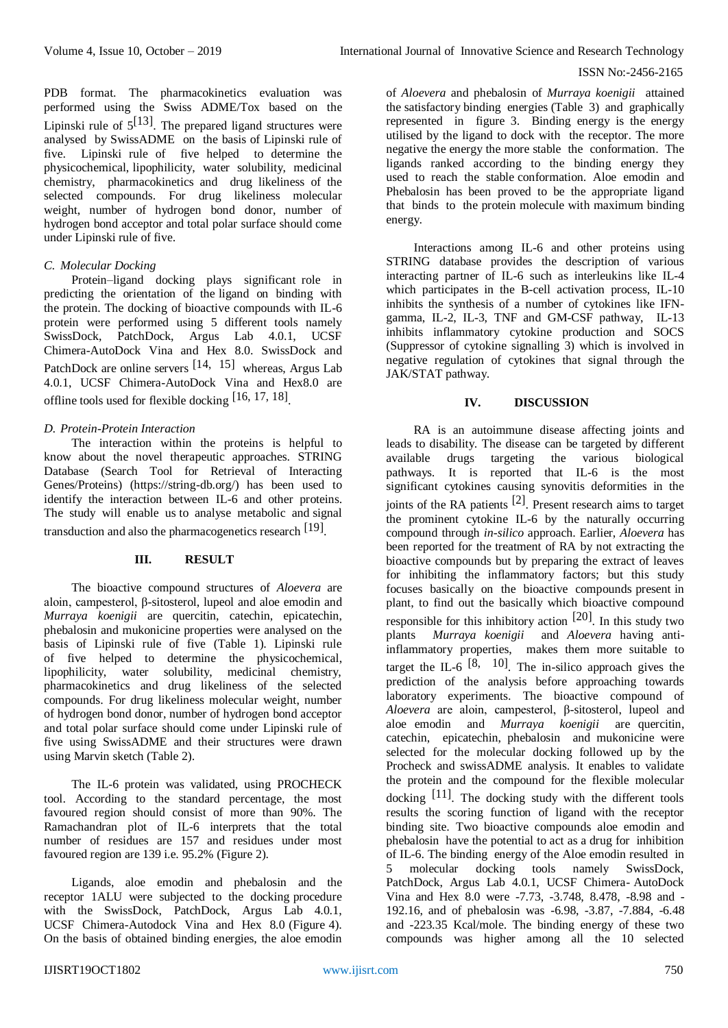#### ISSN No:-2456-2165

PDB format. The pharmacokinetics evaluation was performed using the Swiss ADME/Tox based on the Lipinski rule of  $5^{[13]}$ . The prepared ligand structures were analysed by SwissADME on the basis of Lipinski rule of five. Lipinski rule of five helped to determine the physicochemical, lipophilicity, water solubility, medicinal chemistry, pharmacokinetics and drug likeliness of the selected compounds. For drug likeliness molecular weight, number of hydrogen bond donor, number of hydrogen bond acceptor and total polar surface should come under Lipinski rule of five.

#### *C. Molecular Docking*

Protein–ligand docking plays significant role in predicting the orientation of the ligand on binding with the protein. The docking of bioactive compounds with IL-6 protein were performed using 5 different tools namely SwissDock, PatchDock, Argus Lab 4.0.1, UCSF Chimera-AutoDock Vina and Hex 8.0. SwissDock and PatchDock are online servers [14, 15] whereas, Argus Lab 4.0.1, UCSF Chimera-AutoDock Vina and Hex8.0 are offline tools used for flexible docking [16, 17, 18]

## *D. Protein-Protein Interaction*

The interaction within the proteins is helpful to know about the novel therapeutic approaches. STRING Database (Search Tool for Retrieval of Interacting Genes/Proteins) (https://string-db.org/) has been used to identify the interaction between IL-6 and other proteins. The study will enable us to analyse metabolic and signal transduction and also the pharmacogenetics research [19].

#### **III. RESULT**

The bioactive compound structures of *Aloevera* are aloin, campesterol, β-sitosterol, lupeol and aloe emodin and *Murraya koenigii* are quercitin, catechin, epicatechin, phebalosin and mukonicine properties were analysed on the basis of Lipinski rule of five (Table 1). Lipinski rule of five helped to determine the physicochemical, lipophilicity, water solubility, medicinal chemistry, pharmacokinetics and drug likeliness of the selected compounds. For drug likeliness molecular weight, number of hydrogen bond donor, number of hydrogen bond acceptor and total polar surface should come under Lipinski rule of five using SwissADME and their structures were drawn using Marvin sketch (Table 2).

The IL-6 protein was validated, using PROCHECK tool. According to the standard percentage, the most favoured region should consist of more than 90%. The Ramachandran plot of IL-6 interprets that the total number of residues are 157 and residues under most favoured region are 139 i.e. 95.2% (Figure 2).

Ligands, aloe emodin and phebalosin and the receptor 1ALU were subjected to the docking procedure with the SwissDock, PatchDock, Argus Lab 4.0.1, UCSF Chimera-Autodock Vina and Hex 8.0 (Figure 4). On the basis of obtained binding energies, the aloe emodin

of *Aloevera* and phebalosin of *Murraya koenigii* attained the satisfactory binding energies (Table 3) and graphically represented in figure 3. Binding energy is the energy utilised by the ligand to dock with the receptor. The more negative the energy the more stable the conformation. The ligands ranked according to the binding energy they used to reach the stable conformation. Aloe emodin and Phebalosin has been proved to be the appropriate ligand that binds to the protein molecule with maximum binding energy.

Interactions among IL-6 and other proteins using STRING database provides the description of various interacting partner of IL-6 such as interleukins like IL-4 which participates in the B-cell activation process, IL-10 inhibits the synthesis of a number of cytokines like IFNgamma, IL-2, IL-3, TNF and GM-CSF pathway, IL-13 inhibits inflammatory cytokine production and SOCS (Suppressor of cytokine signalling 3) which is involved in negative regulation of cytokines that signal through the JAK/STAT pathway.

#### **IV. DISCUSSION**

RA is an autoimmune disease affecting joints and leads to disability. The disease can be targeted by different available drugs targeting the various biological pathways. It is reported that IL-6 is the most significant cytokines causing synovitis deformities in the joints of the RA patients [2]. Present research aims to target the prominent cytokine IL-6 by the naturally occurring compound through *in-silico* approach. Earlier, *Aloevera* has been reported for the treatment of RA by not extracting the bioactive compounds but by preparing the extract of leaves for inhibiting the inflammatory factors; but this study focuses basically on the bioactive compounds present in plant, to find out the basically which bioactive compound responsible for this inhibitory action  $[20]$ . In this study two plants *Murraya koenigii* and *Aloevera* having antiinflammatory properties, makes them more suitable to target the IL-6  $\left[8, 10\right]$ . The in-silico approach gives the prediction of the analysis before approaching towards laboratory experiments. The bioactive compound of *Aloevera* are aloin, campesterol, β-sitosterol, lupeol and aloe emodin and *Murraya koenigii* are quercitin, catechin, epicatechin, phebalosin and mukonicine were selected for the molecular docking followed up by the Procheck and swissADME analysis. It enables to validate the protein and the compound for the flexible molecular docking  $[11]$ . The docking study with the different tools results the scoring function of ligand with the receptor binding site. Two bioactive compounds aloe emodin and phebalosin have the potential to act as a drug for inhibition of IL-6. The binding energy of the Aloe emodin resulted in 5 molecular docking tools namely SwissDock, PatchDock, Argus Lab 4.0.1, UCSF Chimera- AutoDock Vina and Hex 8.0 were -7.73, -3.748, 8.478, -8.98 and - 192.16, and of phebalosin was -6.98, -3.87, -7.884, -6.48 and -223.35 Kcal/mole. The binding energy of these two compounds was higher among all the 10 selected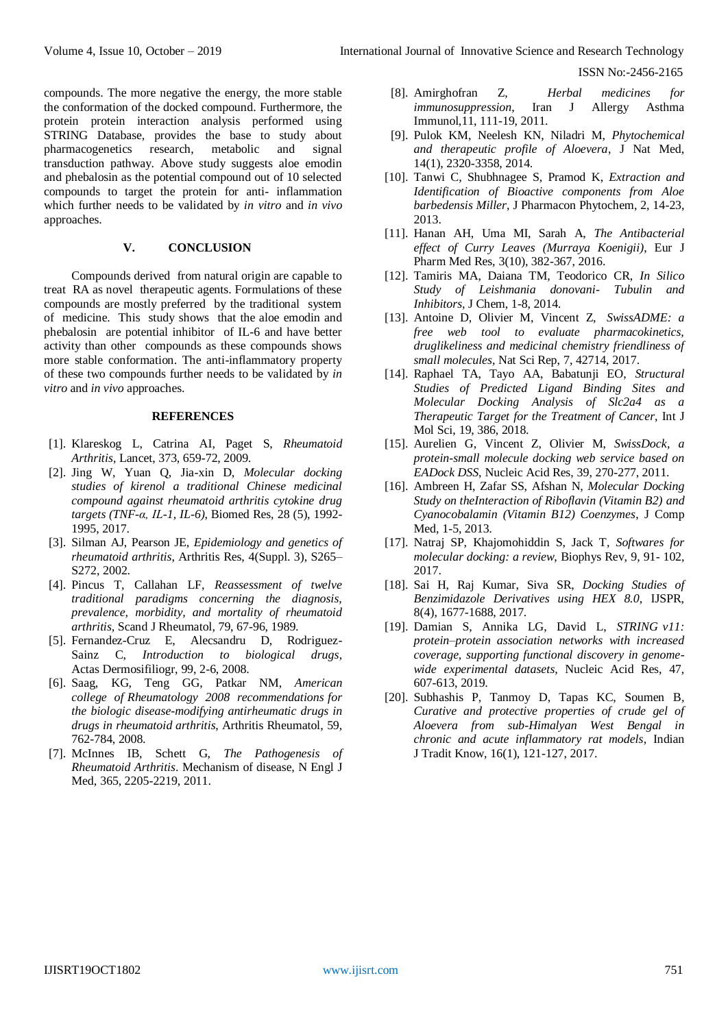ISSN No:-2456-2165

compounds. The more negative the energy, the more stable the conformation of the docked compound. Furthermore, the protein protein interaction analysis performed using STRING Database, provides the base to study about pharmacogenetics research, metabolic and signal transduction pathway. Above study suggests aloe emodin and phebalosin as the potential compound out of 10 selected compounds to target the protein for anti- inflammation which further needs to be validated by *in vitro* and *in vivo*  approaches.

#### **V. CONCLUSION**

Compounds derived from natural origin are capable to treat RA as novel therapeutic agents. Formulations of these compounds are mostly preferred by the traditional system of medicine. This study shows that the aloe emodin and phebalosin are potential inhibitor of IL-6 and have better activity than other compounds as these compounds shows more stable conformation. The anti-inflammatory property of these two compounds further needs to be validated by *in vitro* and *in vivo* approaches.

#### **REFERENCES**

- [1]. Klareskog L, Catrina AI, Paget S, *Rheumatoid Arthritis*, Lancet, 373, 659-72, 2009.
- [2]. Jing W, Yuan Q, Jia-xin D, *Molecular docking studies of kirenol a traditional Chinese medicinal compound against rheumatoid arthritis cytokine drug targets (TNF-α, IL-1, IL-6)*, Biomed Res, 28 (5), 1992- 1995, 2017.
- [3]. Silman AJ, Pearson JE, *Epidemiology and genetics of rheumatoid arthritis*, Arthritis Res, 4(Suppl. 3), S265– S272, 2002.
- [4]. Pincus T, Callahan LF, *Reassessment of twelve traditional paradigms concerning the diagnosis, prevalence, morbidity, and mortality of rheumatoid arthritis,* Scand J Rheumatol, 79, 67-96, 1989.
- [5]. Fernandez-Cruz E, Alecsandru D, Rodriguez-Sainz C, *Introduction to biological drugs*, Actas Dermosifiliogr, 99, 2-6, 2008.
- [6]. Saag, KG, Teng GG, Patkar NM, *American college of Rheumatology 2008 recommendations for the biologic disease-modifying antirheumatic drugs in drugs in rheumatoid arthritis*, Arthritis Rheumatol, 59, 762-784, 2008.
- [7]. McInnes IB, Schett G, *The Pathogenesis of Rheumatoid Arthritis*. Mechanism of disease, N Engl J Med, 365, 2205-2219, 2011.
- [8]. Amirghofran Z, *Herbal medicines for immunosuppression*, Iran J Allergy Asthma Immunol,11, 111-19, 2011.
- [9]. Pulok KM, Neelesh KN, Niladri M, *Phytochemical and therapeutic profile of Aloevera*, J Nat Med, 14(1), 2320-3358, 2014.
- [10]. Tanwi C, Shubhnagee S, Pramod K, *Extraction and Identification of Bioactive components from Aloe barbedensis Miller*, J Pharmacon Phytochem, 2, 14-23, 2013.
- [11]. Hanan AH, Uma MI, Sarah A, *The Antibacterial effect of Curry Leaves (Murraya Koenigii)*, Eur J Pharm Med Res, 3(10), 382-367, 2016.
- [12]. Tamiris MA, Daiana TM, Teodorico CR, *In Silico Study of Leishmania donovani- Tubulin and Inhibitors,* J Chem, 1-8, 2014.
- [13]. Antoine D, Olivier M, Vincent Z, *SwissADME: a free web tool to evaluate pharmacokinetics, druglikeliness and medicinal chemistry friendliness of small molecules*, Nat Sci Rep, 7, 42714, 2017.
- [14]. Raphael TA, Tayo AA, Babatunji EO, *Structural Studies of Predicted Ligand Binding Sites and Molecular Docking Analysis of Slc2a4 as a Therapeutic Target for the Treatment of Cancer*, Int J Mol Sci, 19, 386, 2018.
- [15]. Aurelien G, Vincent Z, Olivier M, *SwissDock, a protein-small molecule docking web service based on EADock DSS*, Nucleic Acid Res, 39, 270-277, 2011.
- [16]. Ambreen H, Zafar SS, Afshan N, *Molecular Docking Study on theInteraction of Riboflavin (Vitamin B2) and Cyanocobalamin (Vitamin B12) Coenzymes*, J Comp Med, 1-5, 2013.
- [17]. Natraj SP, Khajomohiddin S, Jack T, *Softwares for molecular docking: a review*, Biophys Rev, 9, 91- 102, 2017.
- [18]. Sai H, Raj Kumar, Siva SR, *Docking Studies of Benzimidazole Derivatives using HEX 8.0*, IJSPR, 8(4), 1677-1688, 2017.
- [19]. Damian S, Annika LG, David L, *STRING v11: protein–protein association networks with increased coverage, supporting functional discovery in genomewide experimental datasets*, Nucleic Acid Res, 47, 607-613, 2019.
- [20]. Subhashis P, Tanmoy D, Tapas KC, Soumen B*, Curative and protective properties of crude gel of Aloevera from sub-Himalyan West Bengal in chronic and acute inflammatory rat models*, Indian J Tradit Know, 16(1), 121-127, 2017.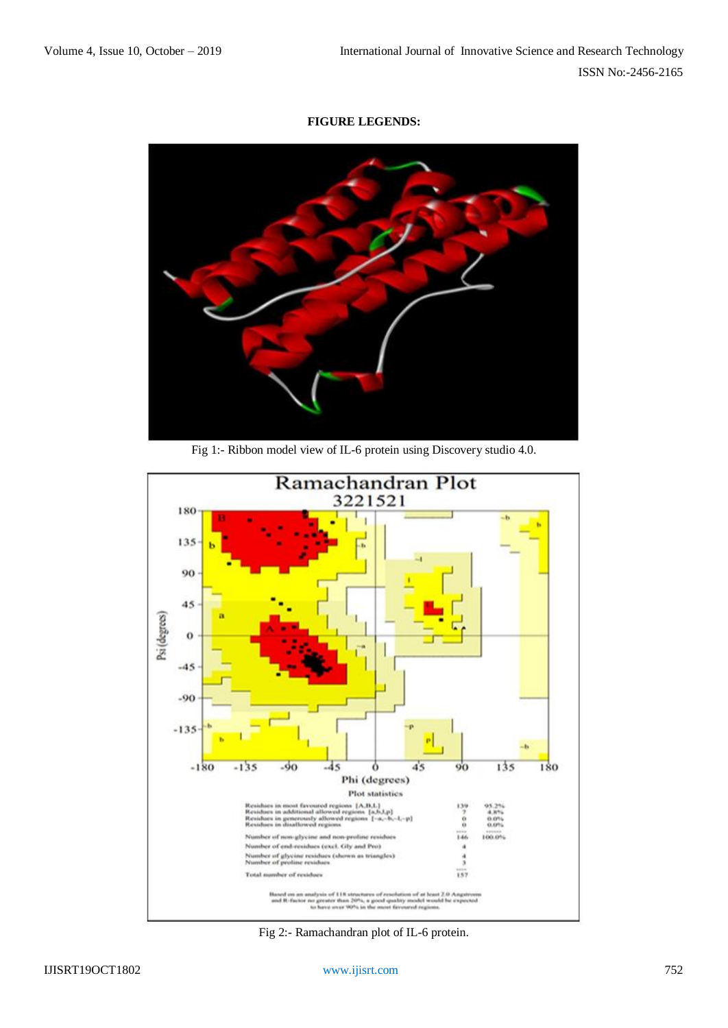## **FIGURE LEGENDS:**



Fig 1:- Ribbon model view of IL-6 protein using Discovery studio 4.0.



Fig 2:- Ramachandran plot of IL-6 protein.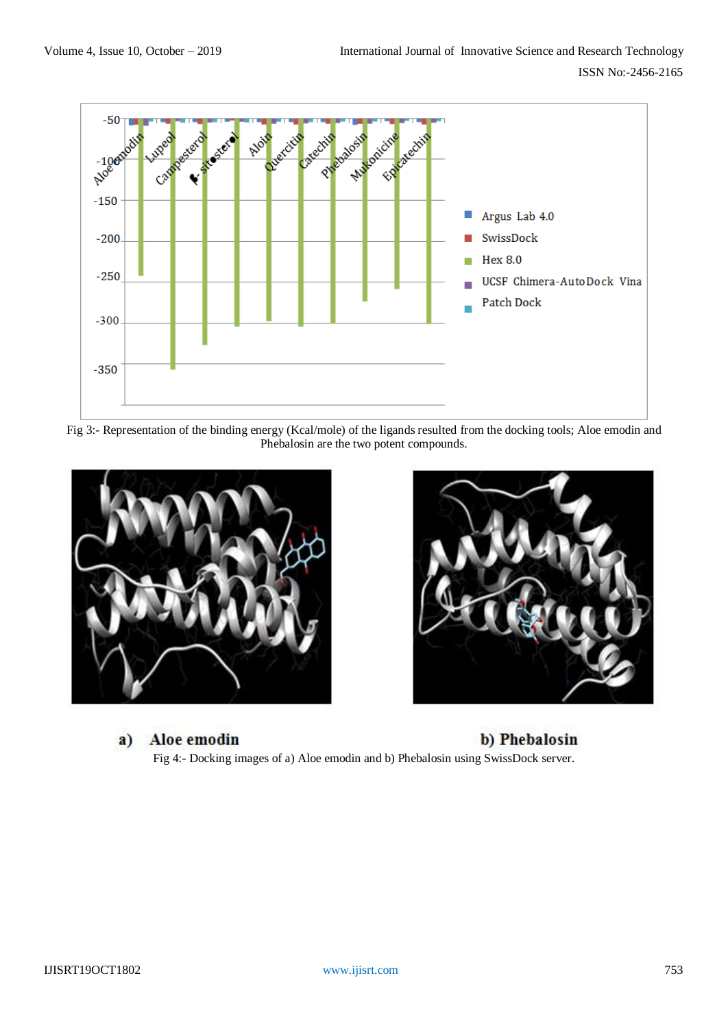

Fig 3:- Representation of the binding energy (Kcal/mole) of the ligands resulted from the docking tools; Aloe emodin and Phebalosin are the two potent compounds.





Aloe emodin a) b) Phebalosin Fig 4:- Docking images of a) Aloe emodin and b) Phebalosin using SwissDock server.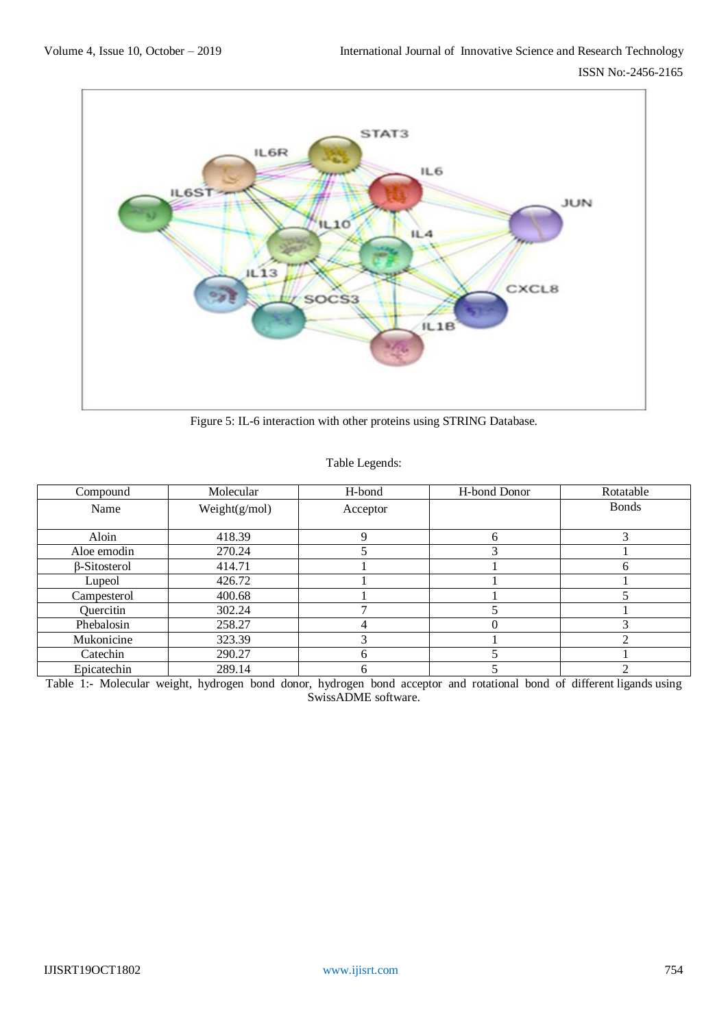

Figure 5: IL-6 interaction with other proteins using STRING Database.

## Table Legends:

| Compound     | Molecular        | H-bond   | H-bond Donor | Rotatable    |
|--------------|------------------|----------|--------------|--------------|
| Name         | Weight $(g/mol)$ | Acceptor |              | <b>Bonds</b> |
|              |                  |          |              |              |
| Aloin        | 418.39           |          | 6            |              |
| Aloe emodin  | 270.24           |          | 3            |              |
| β-Sitosterol | 414.71           |          |              | n            |
| Lupeol       | 426.72           |          |              |              |
| Campesterol  | 400.68           |          |              |              |
| Quercitin    | 302.24           |          |              |              |
| Phebalosin   | 258.27           |          | $\theta$     |              |
| Mukonicine   | 323.39           |          |              |              |
| Catechin     | 290.27           | h        |              |              |
| Epicatechin  | 289.14           | n        |              |              |

Table 1:- Molecular weight, hydrogen bond donor, hydrogen bond acceptor and rotational bond of different ligands using SwissADME software.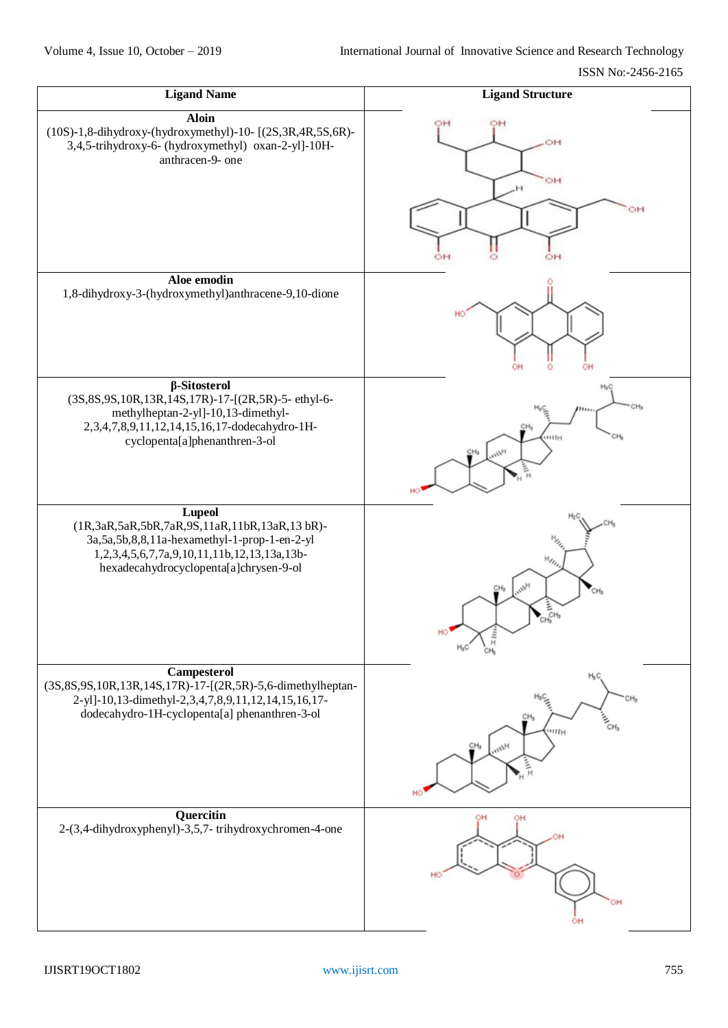